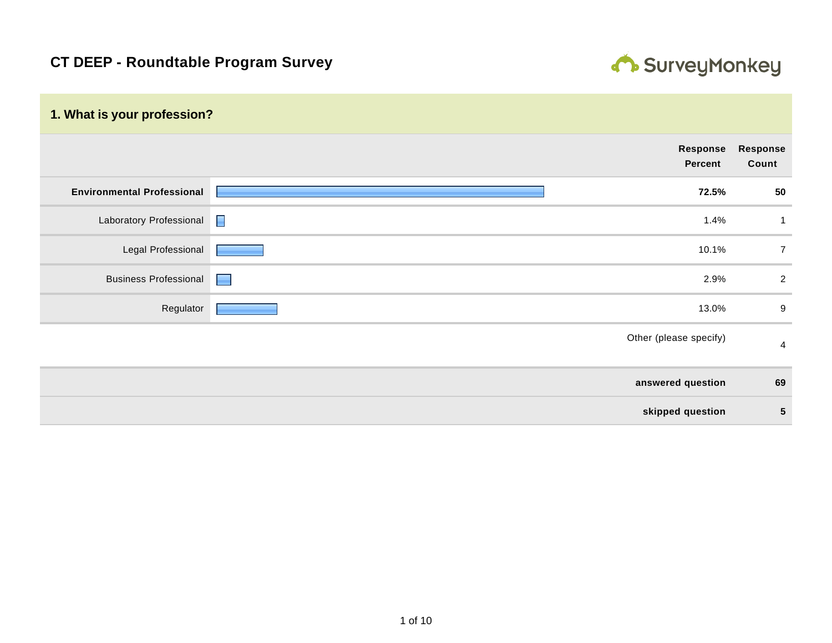

| 1. What is your profession?       |                |                            |                   |
|-----------------------------------|----------------|----------------------------|-------------------|
|                                   |                | Response<br><b>Percent</b> | Response<br>Count |
| <b>Environmental Professional</b> |                | 72.5%                      | 50                |
| Laboratory Professional           | $\blacksquare$ | 1.4%                       | $\mathbf 1$       |
| Legal Professional                |                | 10.1%                      | $\overline{7}$    |
| <b>Business Professional</b>      | a a            | 2.9%                       | $\overline{2}$    |
| Regulator                         |                | 13.0%                      | 9                 |
|                                   |                | Other (please specify)     | $\overline{4}$    |
|                                   |                | answered question          | 69                |
|                                   |                | skipped question           | ${\bf 5}$         |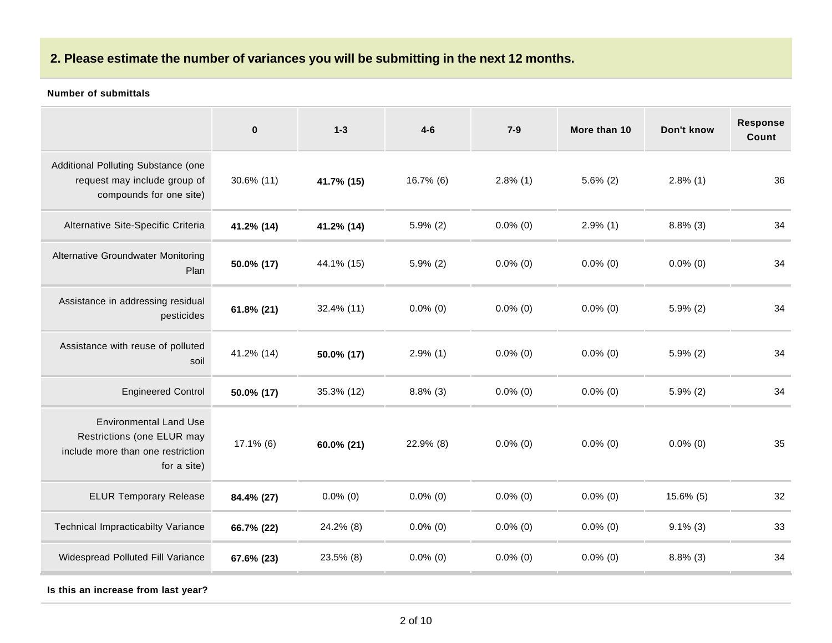# **2. Please estimate the number of variances you will be submitting in the next 12 months.**

#### **Number of submittals**

|                                                                                                                 | $\pmb{0}$     | $1 - 3$     | $4 - 6$     | $7-9$       | More than 10 | Don't know  | Response<br>Count |
|-----------------------------------------------------------------------------------------------------------------|---------------|-------------|-------------|-------------|--------------|-------------|-------------------|
| Additional Polluting Substance (one<br>request may include group of<br>compounds for one site)                  | $30.6\%$ (11) | 41.7% (15)  | 16.7% (6)   | $2.8\%$ (1) | $5.6\%$ (2)  | $2.8\%$ (1) | 36                |
| Alternative Site-Specific Criteria                                                                              | 41.2% (14)    | 41.2% (14)  | $5.9\%$ (2) | $0.0\%$ (0) | $2.9\%$ (1)  | $8.8\%$ (3) | 34                |
| Alternative Groundwater Monitoring<br>Plan                                                                      | 50.0% (17)    | 44.1% (15)  | $5.9\%$ (2) | $0.0\%$ (0) | $0.0\%$ (0)  | $0.0\%$ (0) | 34                |
| Assistance in addressing residual<br>pesticides                                                                 | $61.8\%$ (21) | 32.4% (11)  | $0.0\%$ (0) | $0.0\%$ (0) | $0.0\%$ (0)  | $5.9\%$ (2) | 34                |
| Assistance with reuse of polluted<br>soil                                                                       | 41.2% (14)    | 50.0% (17)  | $2.9\%$ (1) | $0.0\%$ (0) | $0.0\%$ (0)  | $5.9\%$ (2) | 34                |
| <b>Engineered Control</b>                                                                                       | 50.0% (17)    | 35.3% (12)  | $8.8\%$ (3) | $0.0\%$ (0) | $0.0\%$ (0)  | $5.9\%$ (2) | 34                |
| <b>Environmental Land Use</b><br>Restrictions (one ELUR may<br>include more than one restriction<br>for a site) | $17.1\%$ (6)  | 60.0% (21)  | 22.9% (8)   | $0.0\%$ (0) | $0.0\%$ (0)  | $0.0\%$ (0) | 35                |
| <b>ELUR Temporary Release</b>                                                                                   | 84.4% (27)    | $0.0\%$ (0) | $0.0\%$ (0) | $0.0\%$ (0) | $0.0\%$ (0)  | 15.6% (5)   | 32                |
| <b>Technical Impracticabilty Variance</b>                                                                       | 66.7% (22)    | 24.2% (8)   | $0.0\%$ (0) | $0.0\%$ (0) | $0.0\%$ (0)  | $9.1\%$ (3) | 33                |
| Widespread Polluted Fill Variance                                                                               | 67.6% (23)    | 23.5% (8)   | $0.0\%$ (0) | $0.0\%$ (0) | $0.0\%$ (0)  | $8.8\%$ (3) | 34                |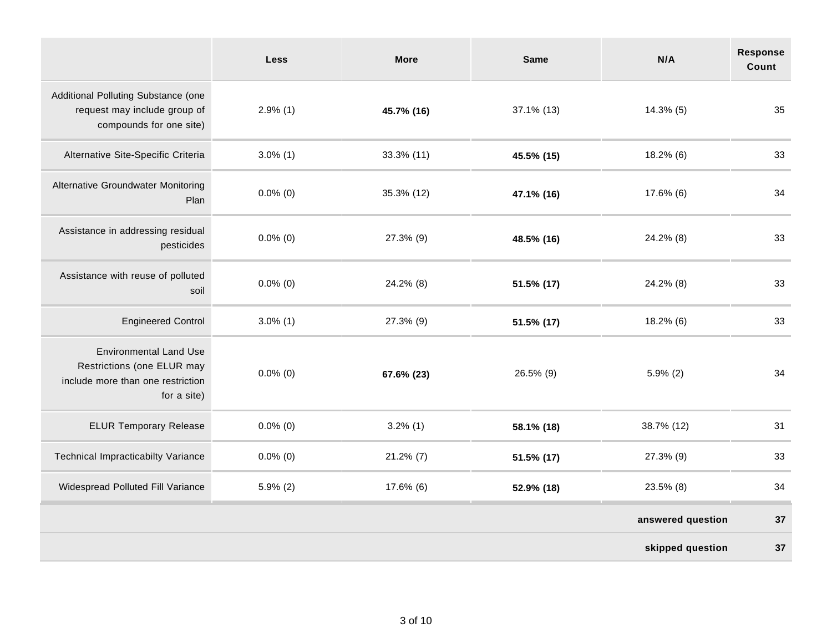|                                                                                                                 | <b>Less</b> | <b>More</b>  | <b>Same</b> | N/A               | <b>Response</b><br>Count |
|-----------------------------------------------------------------------------------------------------------------|-------------|--------------|-------------|-------------------|--------------------------|
| Additional Polluting Substance (one<br>request may include group of<br>compounds for one site)                  | $2.9\%$ (1) | 45.7% (16)   | 37.1% (13)  | $14.3\%$ (5)      | 35                       |
| Alternative Site-Specific Criteria                                                                              | $3.0\%$ (1) | 33.3% (11)   | 45.5% (15)  | $18.2\%$ (6)      | 33                       |
| <b>Alternative Groundwater Monitoring</b><br>Plan                                                               | $0.0\%$ (0) | 35.3% (12)   | 47.1% (16)  | 17.6% (6)         | 34                       |
| Assistance in addressing residual<br>pesticides                                                                 | $0.0\%$ (0) | 27.3% (9)    | 48.5% (16)  | 24.2% (8)         | 33                       |
| Assistance with reuse of polluted<br>soil                                                                       | $0.0\%$ (0) | 24.2% (8)    | 51.5% (17)  | 24.2% (8)         | 33                       |
| <b>Engineered Control</b>                                                                                       | $3.0\%$ (1) | 27.3% (9)    | 51.5% (17)  | $18.2\%$ (6)      | 33                       |
| <b>Environmental Land Use</b><br>Restrictions (one ELUR may<br>include more than one restriction<br>for a site) | $0.0\%$ (0) | 67.6% (23)   | 26.5% (9)   | $5.9\%$ (2)       | 34                       |
| <b>ELUR Temporary Release</b>                                                                                   | $0.0\%$ (0) | $3.2\%$ (1)  | 58.1% (18)  | 38.7% (12)        | 31                       |
| Technical Impracticabilty Variance                                                                              | $0.0\%$ (0) | $21.2\%$ (7) | 51.5% (17)  | 27.3% (9)         | 33                       |
| Widespread Polluted Fill Variance                                                                               | $5.9\%$ (2) | 17.6% (6)    | 52.9% (18)  | 23.5% (8)         | 34                       |
|                                                                                                                 |             |              |             | answered question | 37                       |
|                                                                                                                 |             |              |             | skipped question  | 37                       |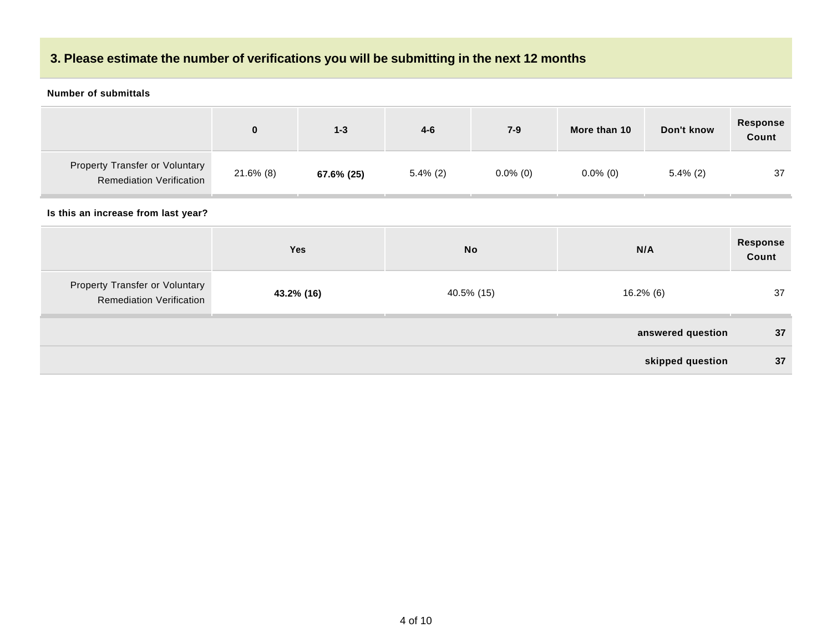## **3. Please estimate the number of verifications you will be submitting in the next 12 months**

#### **Number of submittals**

|                                                                          | 0            | $1 - 3$    | $4 - 6$     | $7-9$       | More than 10 | Don't know  | <b>Response</b><br>Count |
|--------------------------------------------------------------------------|--------------|------------|-------------|-------------|--------------|-------------|--------------------------|
| <b>Property Transfer or Voluntary</b><br><b>Remediation Verification</b> | $21.6\%$ (8) | 67.6% (25) | $5.4\%$ (2) | $0.0\%$ (0) | $0.0\%$ (0)  | $5.4\%$ (2) | 37                       |

|                                                                   | Yes        | <b>No</b>  | N/A               | <b>Response</b><br>Count |
|-------------------------------------------------------------------|------------|------------|-------------------|--------------------------|
| Property Transfer or Voluntary<br><b>Remediation Verification</b> | 43.2% (16) | 40.5% (15) | $16.2\%$ (6)      | 37                       |
|                                                                   |            |            | answered question | 37                       |
|                                                                   |            |            | skipped question  | 37                       |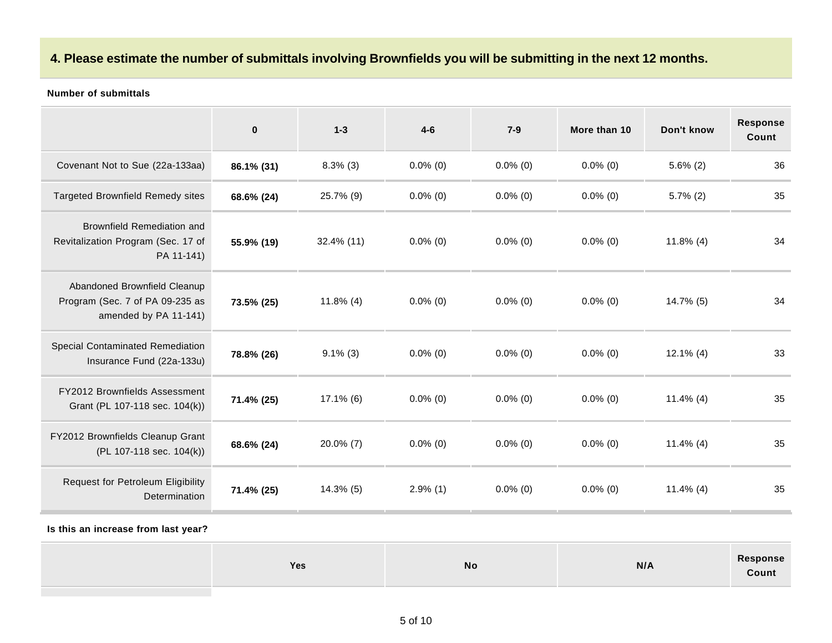### **4. Please estimate the number of submittals involving Brownfields you will be submitting in the next 12 months.**

#### **Number of submittals**

|                                                                                          | $\mathbf{0}$ | $1 - 3$       | $4 - 6$     | $7-9$       | More than 10 | Don't know   | <b>Response</b><br>Count |
|------------------------------------------------------------------------------------------|--------------|---------------|-------------|-------------|--------------|--------------|--------------------------|
| Covenant Not to Sue (22a-133aa)                                                          | 86.1% (31)   | $8.3\%$ (3)   | $0.0\%$ (0) | $0.0\%$ (0) | $0.0\%$ (0)  | $5.6\%$ (2)  | 36                       |
| <b>Targeted Brownfield Remedy sites</b>                                                  | 68.6% (24)   | 25.7% (9)     | $0.0\%$ (0) | $0.0\%$ (0) | $0.0\%$ (0)  | $5.7\%$ (2)  | 35                       |
| Brownfield Remediation and<br>Revitalization Program (Sec. 17 of<br>PA 11-141)           | 55.9% (19)   | $32.4\%$ (11) | $0.0\%$ (0) | $0.0\%$ (0) | $0.0\%$ (0)  | $11.8\%$ (4) | 34                       |
| Abandoned Brownfield Cleanup<br>Program (Sec. 7 of PA 09-235 as<br>amended by PA 11-141) | 73.5% (25)   | $11.8\%$ (4)  | $0.0\%$ (0) | $0.0\%$ (0) | $0.0\%$ (0)  | 14.7% (5)    | 34                       |
| Special Contaminated Remediation<br>Insurance Fund (22a-133u)                            | 78.8% (26)   | $9.1\%$ (3)   | $0.0\%$ (0) | $0.0\%$ (0) | $0.0\%$ (0)  | $12.1\%$ (4) | 33                       |
| FY2012 Brownfields Assessment<br>Grant (PL 107-118 sec. 104(k))                          | 71.4% (25)   | $17.1\%$ (6)  | $0.0\%$ (0) | $0.0\%$ (0) | $0.0\%$ (0)  | $11.4\%$ (4) | 35                       |
| FY2012 Brownfields Cleanup Grant<br>(PL 107-118 sec. 104(k))                             | 68.6% (24)   | $20.0\%$ (7)  | $0.0\%$ (0) | $0.0\%$ (0) | $0.0\%$ (0)  | $11.4\%$ (4) | 35                       |
| Request for Petroleum Eligibility<br><b>Determination</b>                                | 71.4% (25)   | $14.3\%$ (5)  | $2.9\%$ (1) | $0.0\%$ (0) | $0.0\%$ (0)  | $11.4\%$ (4) | 35                       |

| <b>Yes</b> | <b>No</b> | N/A | Response<br>Count |
|------------|-----------|-----|-------------------|
|            |           |     |                   |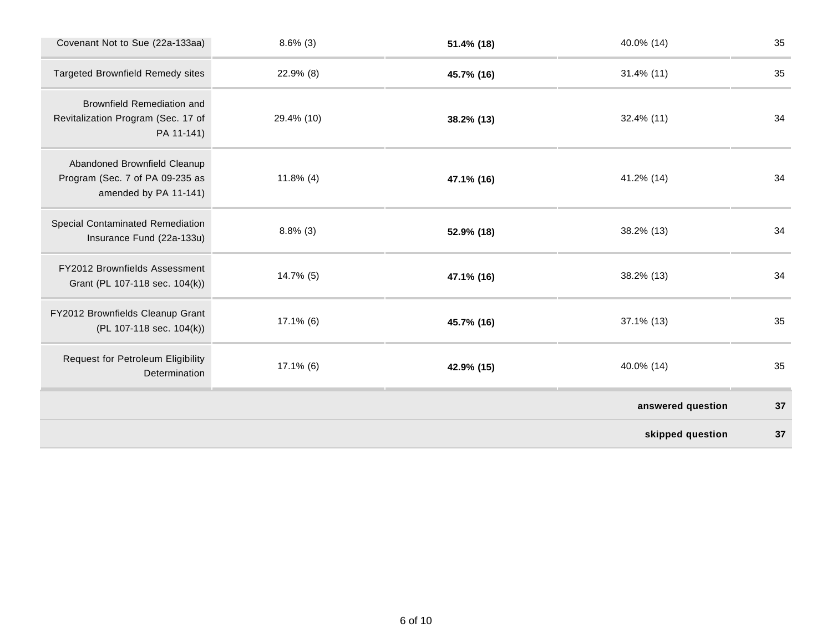| Covenant Not to Sue (22a-133aa)                                                          | $8.6\%$ (3)  | 51.4% (18) | 40.0% (14)        | 35 |
|------------------------------------------------------------------------------------------|--------------|------------|-------------------|----|
| <b>Targeted Brownfield Remedy sites</b>                                                  | 22.9% (8)    | 45.7% (16) | $31.4\%$ (11)     | 35 |
| Brownfield Remediation and<br>Revitalization Program (Sec. 17 of<br>PA 11-141)           | 29.4% (10)   | 38.2% (13) | 32.4% (11)        | 34 |
| Abandoned Brownfield Cleanup<br>Program (Sec. 7 of PA 09-235 as<br>amended by PA 11-141) | $11.8\%$ (4) | 47.1% (16) | 41.2% (14)        | 34 |
| Special Contaminated Remediation<br>Insurance Fund (22a-133u)                            | $8.8\%$ (3)  | 52.9% (18) | 38.2% (13)        | 34 |
| FY2012 Brownfields Assessment<br>Grant (PL 107-118 sec. 104(k))                          | 14.7% (5)    | 47.1% (16) | 38.2% (13)        | 34 |
| FY2012 Brownfields Cleanup Grant<br>(PL 107-118 sec. 104(k))                             | $17.1\%$ (6) | 45.7% (16) | 37.1% (13)        | 35 |
| Request for Petroleum Eligibility<br>Determination                                       | $17.1\%$ (6) | 42.9% (15) | 40.0% (14)        | 35 |
|                                                                                          |              |            | answered question | 37 |
|                                                                                          |              |            | skipped question  | 37 |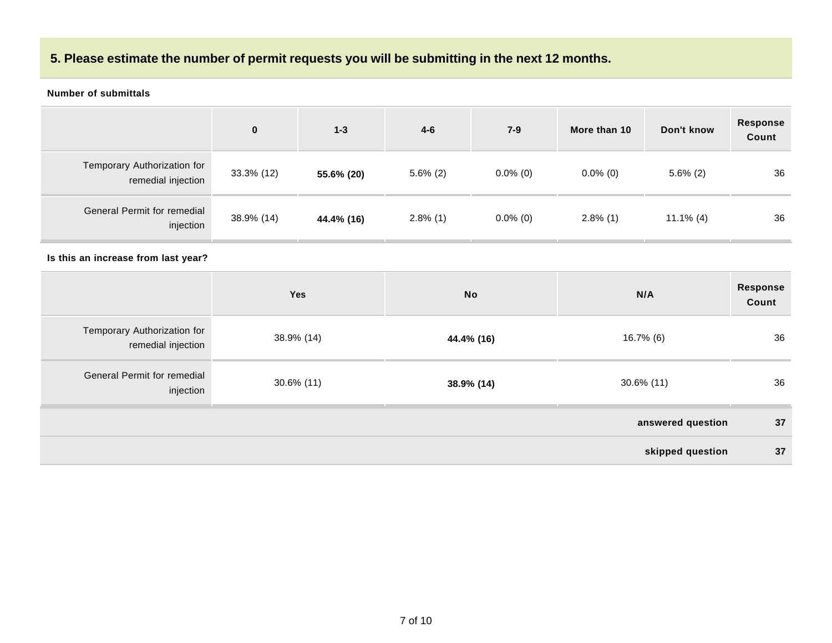### **5. Please estimate the number of permit requests you will be submitting in the next 12 months.**

#### **Number of submittals**

|                                                   | $\bf{0}$   | $1 - 3$    | $4 - 6$     | $7 - 9$     | More than 10 | Don't know   | <b>Response</b><br>Count |
|---------------------------------------------------|------------|------------|-------------|-------------|--------------|--------------|--------------------------|
| Temporary Authorization for<br>remedial injection | 33.3% (12) | 55.6% (20) | $5.6\%$ (2) | $0.0\%$ (0) | $0.0\%$ (0)  | $5.6\%$ (2)  | 36                       |
| General Permit for remedial<br>injection          | 38.9% (14) | 44.4% (16) | $2.8\%$ (1) | $0.0\%$ (0) | $2.8\%$ (1)  | $11.1\%$ (4) | 36                       |

|                                                   | Yes        | <b>No</b>  | N/A               | Response<br>Count |
|---------------------------------------------------|------------|------------|-------------------|-------------------|
| Temporary Authorization for<br>remedial injection | 38.9% (14) | 44.4% (16) | 16.7% (6)         | 36                |
| General Permit for remedial<br>injection          | 30.6% (11) | 38.9% (14) | $30.6\%$ (11)     | 36                |
|                                                   |            |            | answered question | 37                |
|                                                   |            |            | skipped question  | 37                |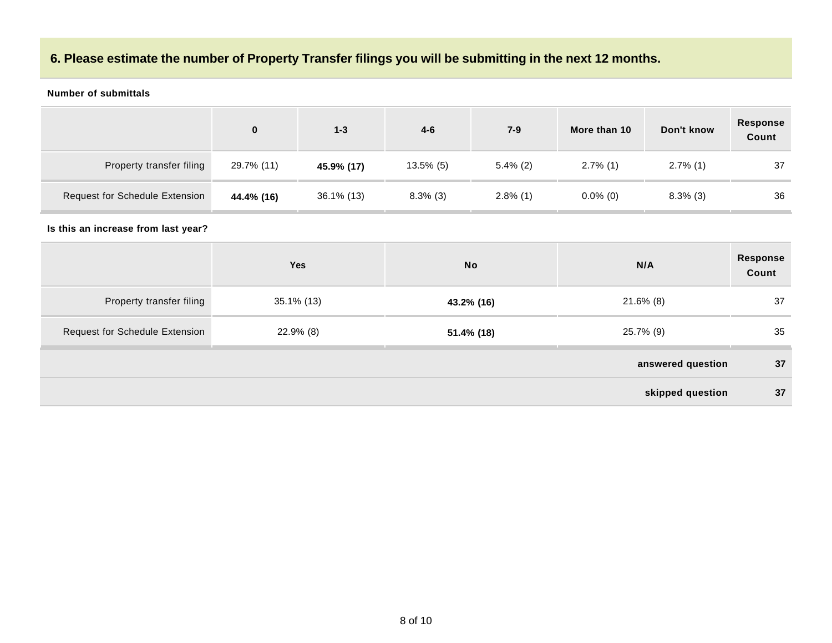### **6. Please estimate the number of Property Transfer filings you will be submitting in the next 12 months.**

#### **Number of submittals**

|                                | 0          | $1 - 3$    | $4 - 6$      | $7 - 9$     | More than 10 | Don't know  | Response<br>Count |
|--------------------------------|------------|------------|--------------|-------------|--------------|-------------|-------------------|
| Property transfer filing       | 29.7% (11) | 45.9% (17) | $13.5\%$ (5) | $5.4\%$ (2) | $2.7\%$ (1)  | $2.7\%$ (1) | 37                |
| Request for Schedule Extension | 44.4% (16) | 36.1% (13) | $8.3\%$ (3)  | $2.8\%$ (1) | $0.0\%$ (0)  | $8.3\%$ (3) | 36                |

|                                       | Yes        | <b>No</b>  | N/A               | Response<br>Count |
|---------------------------------------|------------|------------|-------------------|-------------------|
| Property transfer filing              | 35.1% (13) | 43.2% (16) | 21.6% (8)         | 37                |
| <b>Request for Schedule Extension</b> | 22.9% (8)  | 51.4% (18) | 25.7% (9)         | 35                |
|                                       |            |            | answered question | 37                |
|                                       |            |            | skipped question  | 37                |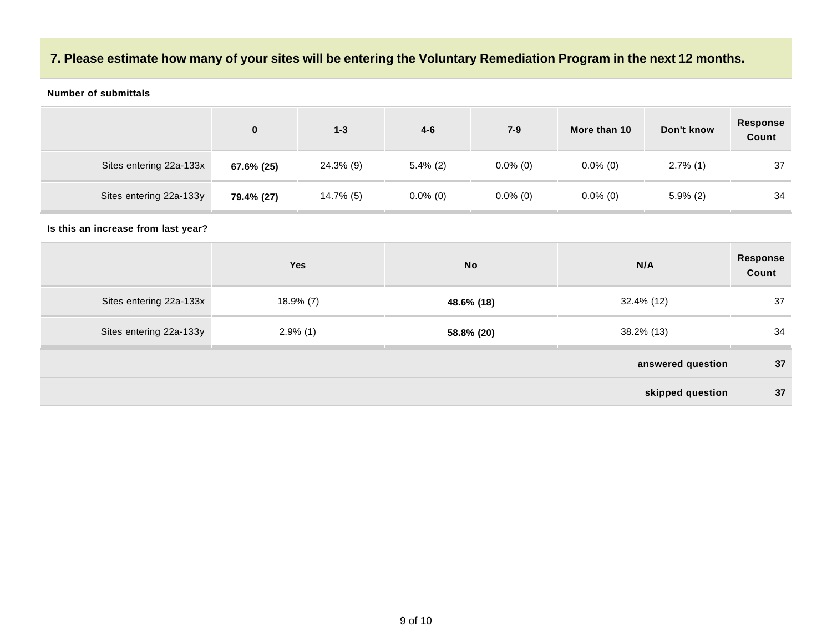### **7. Please estimate how many of your sites will be entering the Voluntary Remediation Program in the next 12 months.**

#### **Number of submittals**

|                         | 0          | $1 - 3$   | $4 - 6$     | $7-9$       | More than 10 | Don't know  | Response<br>Count |
|-------------------------|------------|-----------|-------------|-------------|--------------|-------------|-------------------|
| Sites entering 22a-133x | 67.6% (25) | 24.3% (9) | $5.4\%$ (2) | $0.0\%$ (0) | $0.0\%$ (0)  | $2.7\%$ (1) | 37                |
| Sites entering 22a-133y | 79.4% (27) | 14.7% (5) | $0.0\%$ (0) | $0.0\%$ (0) | $0.0\%$ (0)  | $5.9\%$ (2) | 34                |

|                         | Yes          | <b>No</b>  | N/A               | Response<br>Count |
|-------------------------|--------------|------------|-------------------|-------------------|
| Sites entering 22a-133x | $18.9\%$ (7) | 48.6% (18) | 32.4% (12)        | 37                |
| Sites entering 22a-133y | $2.9\%$ (1)  | 58.8% (20) | 38.2% (13)        | 34                |
|                         |              |            | answered question | 37                |
|                         |              |            | skipped question  | 37                |